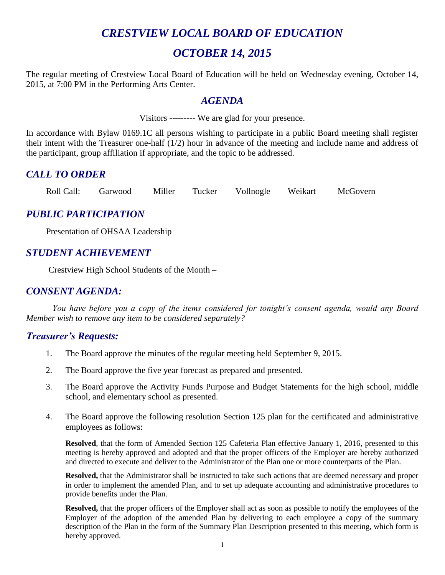# *CRESTVIEW LOCAL BOARD OF EDUCATION*

# *OCTOBER 14, 2015*

The regular meeting of Crestview Local Board of Education will be held on Wednesday evening, October 14, 2015, at 7:00 PM in the Performing Arts Center.

#### *AGENDA*

Visitors --------- We are glad for your presence.

In accordance with Bylaw 0169.1C all persons wishing to participate in a public Board meeting shall register their intent with the Treasurer one-half (1/2) hour in advance of the meeting and include name and address of the participant, group affiliation if appropriate, and the topic to be addressed.

#### *CALL TO ORDER*

Roll Call: Garwood Miller Tucker Vollnogle Weikart McGovern

# *PUBLIC PARTICIPATION*

Presentation of OHSAA Leadership

# *STUDENT ACHIEVEMENT*

Crestview High School Students of the Month –

#### *CONSENT AGENDA:*

*You have before you a copy of the items considered for tonight's consent agenda, would any Board Member wish to remove any item to be considered separately?*

#### *Treasurer's Requests:*

- 1. The Board approve the minutes of the regular meeting held September 9, 2015.
- 2. The Board approve the five year forecast as prepared and presented.
- 3. The Board approve the Activity Funds Purpose and Budget Statements for the high school, middle school, and elementary school as presented.
- 4. The Board approve the following resolution Section 125 plan for the certificated and administrative employees as follows:

**Resolved**, that the form of Amended Section 125 Cafeteria Plan effective January 1, 2016, presented to this meeting is hereby approved and adopted and that the proper officers of the Employer are hereby authorized and directed to execute and deliver to the Administrator of the Plan one or more counterparts of the Plan.

**Resolved,** that the Administrator shall be instructed to take such actions that are deemed necessary and proper in order to implement the amended Plan, and to set up adequate accounting and administrative procedures to provide benefits under the Plan.

**Resolved,** that the proper officers of the Employer shall act as soon as possible to notify the employees of the Employer of the adoption of the amended Plan by delivering to each employee a copy of the summary description of the Plan in the form of the Summary Plan Description presented to this meeting, which form is hereby approved.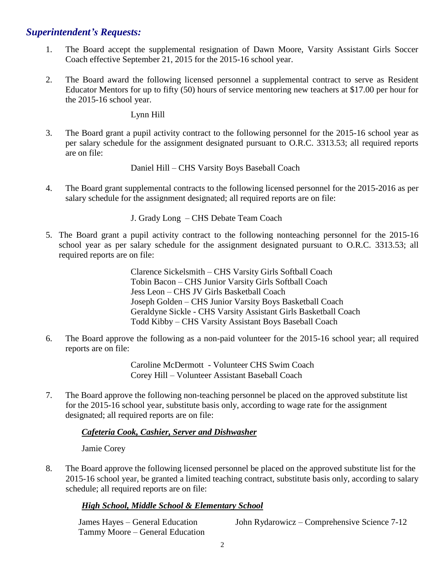#### *Superintendent's Requests:*

- 1. The Board accept the supplemental resignation of Dawn Moore, Varsity Assistant Girls Soccer Coach effective September 21, 2015 for the 2015-16 school year.
- 2. The Board award the following licensed personnel a supplemental contract to serve as Resident Educator Mentors for up to fifty (50) hours of service mentoring new teachers at \$17.00 per hour for the 2015-16 school year.

Lynn Hill

3. The Board grant a pupil activity contract to the following personnel for the 2015-16 school year as per salary schedule for the assignment designated pursuant to O.R.C. 3313.53; all required reports are on file:

Daniel Hill – CHS Varsity Boys Baseball Coach

4. The Board grant supplemental contracts to the following licensed personnel for the 2015-2016 as per salary schedule for the assignment designated; all required reports are on file:

J. Grady Long – CHS Debate Team Coach

5. The Board grant a pupil activity contract to the following nonteaching personnel for the 2015-16 school year as per salary schedule for the assignment designated pursuant to O.R.C. 3313.53; all required reports are on file:

> Clarence Sickelsmith – CHS Varsity Girls Softball Coach Tobin Bacon – CHS Junior Varsity Girls Softball Coach Jess Leon – CHS JV Girls Basketball Coach Joseph Golden – CHS Junior Varsity Boys Basketball Coach Geraldyne Sickle - CHS Varsity Assistant Girls Basketball Coach Todd Kibby – CHS Varsity Assistant Boys Baseball Coach

6. The Board approve the following as a non-paid volunteer for the 2015-16 school year; all required reports are on file:

> Caroline McDermott - Volunteer CHS Swim Coach Corey Hill – Volunteer Assistant Baseball Coach

7. The Board approve the following non-teaching personnel be placed on the approved substitute list for the 2015-16 school year, substitute basis only, according to wage rate for the assignment designated; all required reports are on file:

#### *Cafeteria Cook, Cashier, Server and Dishwasher*

Jamie Corey

8. The Board approve the following licensed personnel be placed on the approved substitute list for the 2015-16 school year, be granted a limited teaching contract, substitute basis only, according to salary schedule; all required reports are on file:

#### *High School, Middle School & Elementary School*

Tammy Moore – General Education

James Hayes – General Education John Rydarowicz – Comprehensive Science 7-12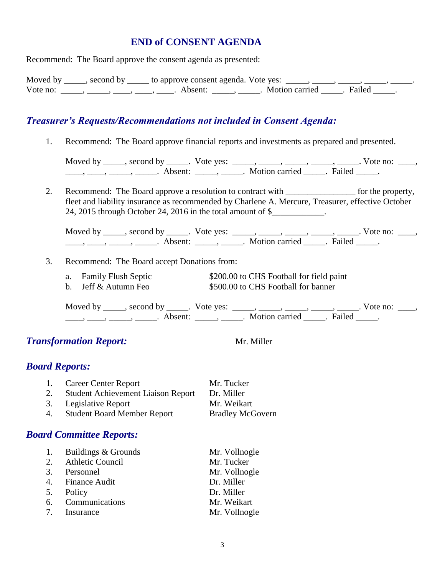#### **END of CONSENT AGENDA**

Recommend: The Board approve the consent agenda as presented:

|          | Moved by _____, second by _____ to approve consent agenda. Vote yes: _____, _____, _____, _____, _ |                           |  |
|----------|----------------------------------------------------------------------------------------------------|---------------------------|--|
| Vote no: | Absent:                                                                                            | . Motion carried . Failed |  |

#### *Treasurer's Requests/Recommendations not included in Consent Agenda:*

1. Recommend: The Board approve financial reports and investments as prepared and presented.

Moved by \_\_\_\_\_, second by \_\_\_\_\_. Vote yes:  $\_\_\_\_\_\_\_\_\_\_\_\_\_\_\_$  \_\_\_\_\_, \_\_\_\_\_, \_\_\_\_\_. Vote no:  $\_\_\_\_\_\$ \_\_\_\_\_, \_\_\_\_\_\_, \_\_\_\_\_\_\_. Absent: \_\_\_\_\_\_, \_\_\_\_\_\_. Motion carried \_\_\_\_\_\_. Failed \_\_\_\_\_.

2. Recommend: The Board approve a resolution to contract with \_\_\_\_\_\_\_\_\_\_\_\_\_\_\_\_\_ for the property, fleet and liability insurance as recommended by Charlene A. Mercure, Treasurer, effective October 24, 2015 through October 24, 2016 in the total amount of \$\_\_\_\_\_\_\_\_\_\_\_\_.

Moved by \_\_\_\_\_, second by \_\_\_\_\_. Vote yes:  $\_\_\_\_\_\_\_\_\_\_\_\_\_\_\_$  \_\_\_\_\_, \_\_\_\_\_, \_\_\_\_\_. Vote no:  $\_\_\_\_\_\_\$ \_\_\_\_, \_\_\_\_\_, \_\_\_\_\_\_, Absent: \_\_\_\_\_, \_\_\_\_\_. Motion carried \_\_\_\_\_. Failed \_\_\_\_\_.

#### 3. Recommend: The Board accept Donations from:

- a. Family Flush Septic \$200.00 to CHS Football for field paint
	- b. Jeff & Autumn Feo  $$500.00$  to CHS Football for banner

Moved by \_\_\_\_\_, second by \_\_\_\_\_. Vote yes: \_\_\_\_\_, \_\_\_\_\_, \_\_\_\_\_, \_\_\_\_\_, \_\_\_\_\_. Vote no: \_\_\_\_,  $\frac{1}{\sqrt{2}}$ ,  $\frac{1}{\sqrt{2}}$ ,  $\frac{1}{\sqrt{2}}$ ,  $\frac{1}{\sqrt{2}}$ ,  $\frac{1}{\sqrt{2}}$ ,  $\frac{1}{\sqrt{2}}$ ,  $\frac{1}{\sqrt{2}}$ ,  $\frac{1}{\sqrt{2}}$ ,  $\frac{1}{\sqrt{2}}$ ,  $\frac{1}{\sqrt{2}}$ ,  $\frac{1}{\sqrt{2}}$ ,  $\frac{1}{\sqrt{2}}$ ,  $\frac{1}{\sqrt{2}}$ ,  $\frac{1}{\sqrt{2}}$ ,  $\frac{1}{\sqrt{2}}$ ,  $\frac{1}{\sqrt{2}}$ 

#### **Transformation Report:** Mr. Miller

#### *Board Reports:*

| 1. Career Center Report               | Mr. Tucker              |
|---------------------------------------|-------------------------|
| 2. Student Achievement Liaison Report | Dr. Miller              |
| 3. Legislative Report                 | Mr. Weikart             |
| 4. Student Board Member Report        | <b>Bradley McGovern</b> |

#### *Board Committee Reports:*

| 1. | Buildings & Grounds | Mr. Vollnogle |
|----|---------------------|---------------|
|    | 2. Athletic Council | Mr. Tucker    |
|    | 3. Personnel        | Mr. Vollnogle |
|    | 4. Finance Audit    | Dr. Miller    |
| 5. | Policy              | Dr. Miller    |
|    | 6. Communications   | Mr. Weikart   |
|    | 7. Insurance        | Mr. Vollnogle |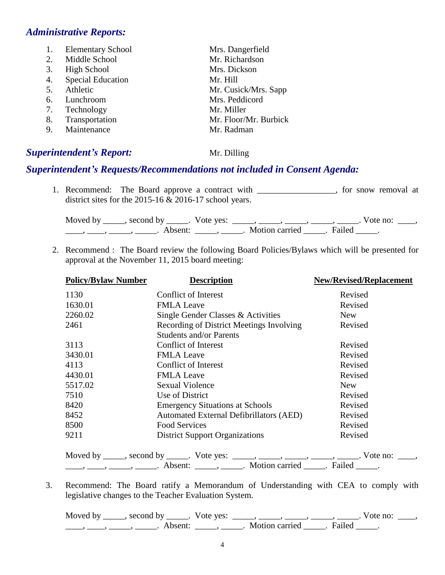#### *Administrative Reports:*

1. Elementary School Mrs. Dangerfield 2. Middle School Mr. Richardson 3. High School Mrs. Dickson 4. Special Education Mr. Hill 5. Athletic Mr. Cusick/Mrs. Sapp 6. Lunchroom Mrs. Peddicord 7. Technology Mr. Miller 8. Transportation Mr. Floor/Mr. Burbick 9. Maintenance Mr. Radman

#### **Superintendent's Report:** Mr. Dilling

#### *Superintendent's Requests/Recommendations not included in Consent Agenda:*

1. Recommend: The Board approve a contract with \_\_\_\_\_\_\_\_\_\_\_\_\_\_\_, for snow removal at district sites for the 2015-16 & 2016-17 school years.

Moved by \_\_\_\_\_, second by \_\_\_\_\_. Vote yes:  $\_\_\_\_\_\_\_\_\_\_\_\_\_\_\_$  \_\_\_\_\_, \_\_\_\_\_, \_\_\_\_\_. Vote no:  $\_\_\_\_\_\$ \_\_\_\_\_, \_\_\_\_\_\_, \_\_\_\_\_\_\_. Absent: \_\_\_\_\_\_, \_\_\_\_\_\_. Motion carried \_\_\_\_\_\_. Failed \_\_\_\_\_.

2. Recommend : The Board review the following Board Policies/Bylaws which will be presented for approval at the November 11, 2015 board meeting:

| <b>Policy/Bylaw Number</b> | <b>Description</b>                                                                                                                                                                                                                                                                                                                                                                                                          | <b>New/Revised/Replacement</b> |
|----------------------------|-----------------------------------------------------------------------------------------------------------------------------------------------------------------------------------------------------------------------------------------------------------------------------------------------------------------------------------------------------------------------------------------------------------------------------|--------------------------------|
| 1130                       | Conflict of Interest                                                                                                                                                                                                                                                                                                                                                                                                        | Revised                        |
| 1630.01                    | <b>FMLA Leave</b>                                                                                                                                                                                                                                                                                                                                                                                                           | Revised                        |
| 2260.02                    | Single Gender Classes & Activities                                                                                                                                                                                                                                                                                                                                                                                          | <b>New</b>                     |
| 2461                       | Recording of District Meetings Involving<br><b>Students and/or Parents</b>                                                                                                                                                                                                                                                                                                                                                  | Revised                        |
| 3113                       | Conflict of Interest                                                                                                                                                                                                                                                                                                                                                                                                        | Revised                        |
| 3430.01                    | <b>FMLA Leave</b>                                                                                                                                                                                                                                                                                                                                                                                                           | Revised                        |
| 4113                       | <b>Conflict of Interest</b>                                                                                                                                                                                                                                                                                                                                                                                                 | Revised                        |
| 4430.01                    | <b>FMLA Leave</b>                                                                                                                                                                                                                                                                                                                                                                                                           | Revised                        |
| 5517.02                    | <b>Sexual Violence</b>                                                                                                                                                                                                                                                                                                                                                                                                      | <b>New</b>                     |
| 7510                       | Use of District                                                                                                                                                                                                                                                                                                                                                                                                             | Revised                        |
| 8420                       | <b>Emergency Situations at Schools</b>                                                                                                                                                                                                                                                                                                                                                                                      | Revised                        |
| 8452                       | <b>Automated External Defibrillators (AED)</b>                                                                                                                                                                                                                                                                                                                                                                              | Revised                        |
| 8500                       | <b>Food Services</b>                                                                                                                                                                                                                                                                                                                                                                                                        | Revised                        |
| 9211                       | <b>District Support Organizations</b>                                                                                                                                                                                                                                                                                                                                                                                       | Revised                        |
|                            | Moved by _____, second by _____. Vote yes: _____, _____, _____, _____, _____. Vote no: ____,                                                                                                                                                                                                                                                                                                                                |                                |
|                            | $\frac{1}{1}, \frac{1}{1}, \frac{1}{1}, \frac{1}{1}, \frac{1}{1}, \frac{1}{1}, \frac{1}{1}, \frac{1}{1}, \frac{1}{1}, \frac{1}{1}, \frac{1}{1}, \frac{1}{1}, \frac{1}{1}, \frac{1}{1}, \frac{1}{1}, \frac{1}{1}, \frac{1}{1}, \frac{1}{1}, \frac{1}{1}, \frac{1}{1}, \frac{1}{1}, \frac{1}{1}, \frac{1}{1}, \frac{1}{1}, \frac{1}{1}, \frac{1}{1}, \frac{1}{1}, \frac{1}{1}, \frac{1}{1}, \frac{1}{1}, \frac{1}{1}, \frac{$ |                                |

3. Recommend: The Board ratify a Memorandum of Understanding with CEA to comply with legislative changes to the Teacher Evaluation System.

Moved by \_\_\_\_\_, second by \_\_\_\_\_. Vote yes: \_\_\_\_\_, \_\_\_\_\_, \_\_\_\_\_, \_\_\_\_\_, \_\_\_\_\_. Vote no: \_\_\_\_,  $\frac{1}{\sqrt{2}}$ ,  $\frac{1}{\sqrt{2}}$ ,  $\frac{1}{\sqrt{2}}$ ,  $\frac{1}{\sqrt{2}}$ ,  $\frac{1}{\sqrt{2}}$ ,  $\frac{1}{\sqrt{2}}$ ,  $\frac{1}{\sqrt{2}}$ ,  $\frac{1}{\sqrt{2}}$ ,  $\frac{1}{\sqrt{2}}$ ,  $\frac{1}{\sqrt{2}}$ ,  $\frac{1}{\sqrt{2}}$ ,  $\frac{1}{\sqrt{2}}$ ,  $\frac{1}{\sqrt{2}}$ ,  $\frac{1}{\sqrt{2}}$ ,  $\frac{1}{\sqrt{2}}$ ,  $\frac{1}{\sqrt{2}}$